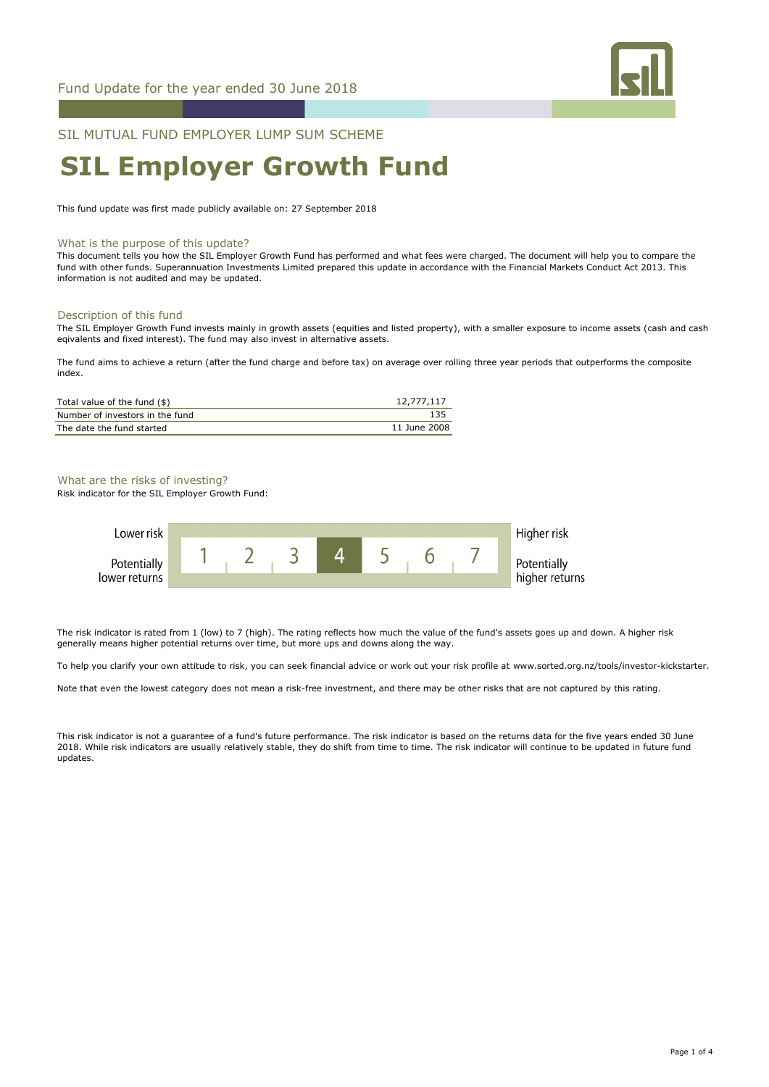

SIL MUTUAL FUND EMPLOYER LUMP SUM SCHEME

# **SIL Employer Growth Fund**

This fund update was first made publicly available on: 27 September 2018

### What is the purpose of this update?

This document tells you how the SIL Employer Growth Fund has performed and what fees were charged. The document will help you to compare the fund with other funds. Superannuation Investments Limited prepared this update in accordance with the Financial Markets Conduct Act 2013. This information is not audited and may be updated.

#### Description of this fund

The SIL Employer Growth Fund invests mainly in growth assets (equities and listed property), with a smaller exposure to income assets (cash and cash eqivalents and fixed interest). The fund may also invest in alternative assets.

The fund aims to achieve a return (after the fund charge and before tax) on average over rolling three year periods that outperforms the composite index.

| Total value of the fund (\$)    | 12,777,117   |
|---------------------------------|--------------|
| Number of investors in the fund | 135          |
| The date the fund started       | 11 June 2008 |

# What are the risks of investing?

Risk indicator for the SIL Employer Growth Fund:



The risk indicator is rated from 1 (low) to 7 (high). The rating reflects how much the value of the fund's assets goes up and down. A higher risk generally means higher potential returns over time, but more ups and downs along the way.

To help you clarify your own attitude to risk, you can seek financial advice or work out your risk profile at www.sorted.org.nz/tools/investor-kickstarter.

Note that even the lowest category does not mean a risk-free investment, and there may be other risks that are not captured by this rating.

This risk indicator is not a guarantee of a fund's future performance. The risk indicator is based on the returns data for the five years ended 30 June 2018. While risk indicators are usually relatively stable, they do shift from time to time. The risk indicator will continue to be updated in future fund updates.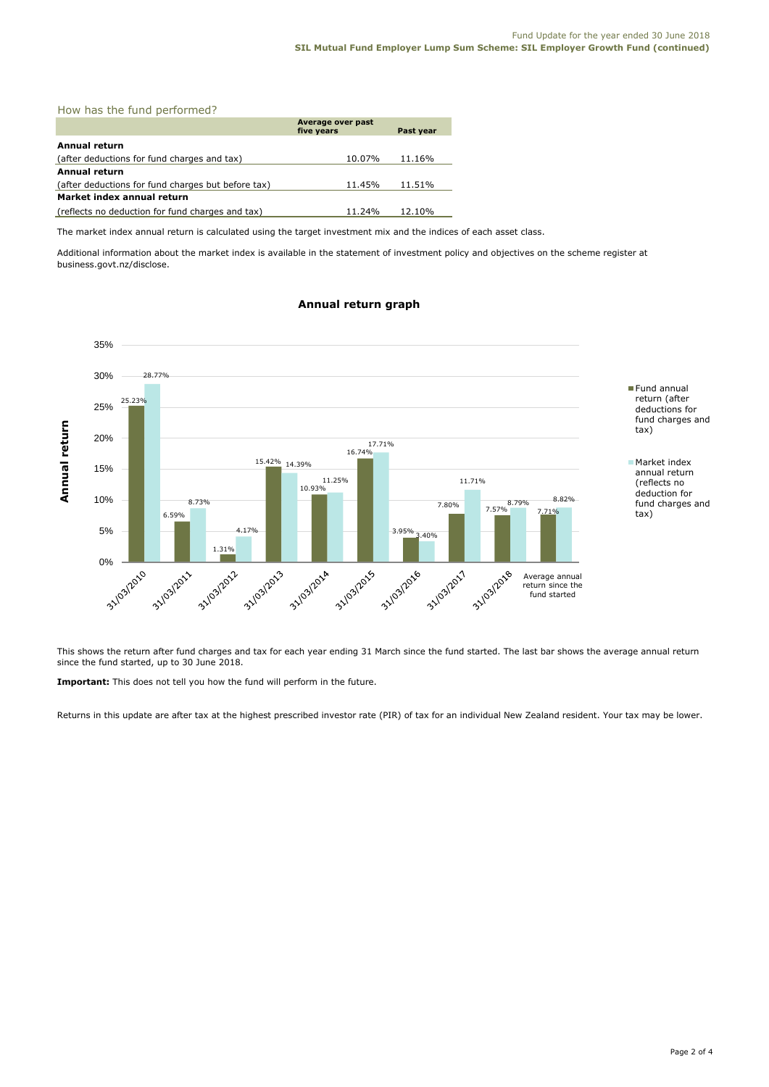| How has the fund performed?                        |                                              |        |  |  |
|----------------------------------------------------|----------------------------------------------|--------|--|--|
|                                                    | Average over past<br>five years<br>Past year |        |  |  |
| Annual return                                      |                                              |        |  |  |
| (after deductions for fund charges and tax)        | 10.07%                                       | 11.16% |  |  |
| Annual return                                      |                                              |        |  |  |
| (after deductions for fund charges but before tax) | 11.45%                                       | 11.51% |  |  |
| Market index annual return                         |                                              |        |  |  |
| (reflects no deduction for fund charges and tax)   | 11.24%                                       | 12.10% |  |  |

The market index annual return is calculated using the target investment mix and the indices of each asset class.

Additional information about the market index is available in the statement of investment policy and objectives on the scheme register at business.govt.nz/disclose.

# **Annual return graph**



This shows the return after fund charges and tax for each year ending 31 March since the fund started. The last bar shows the average annual return since the fund started, up to 30 June 2018.

**Important:** This does not tell you how the fund will perform in the future.

Returns in this update are after tax at the highest prescribed investor rate (PIR) of tax for an individual New Zealand resident. Your tax may be lower.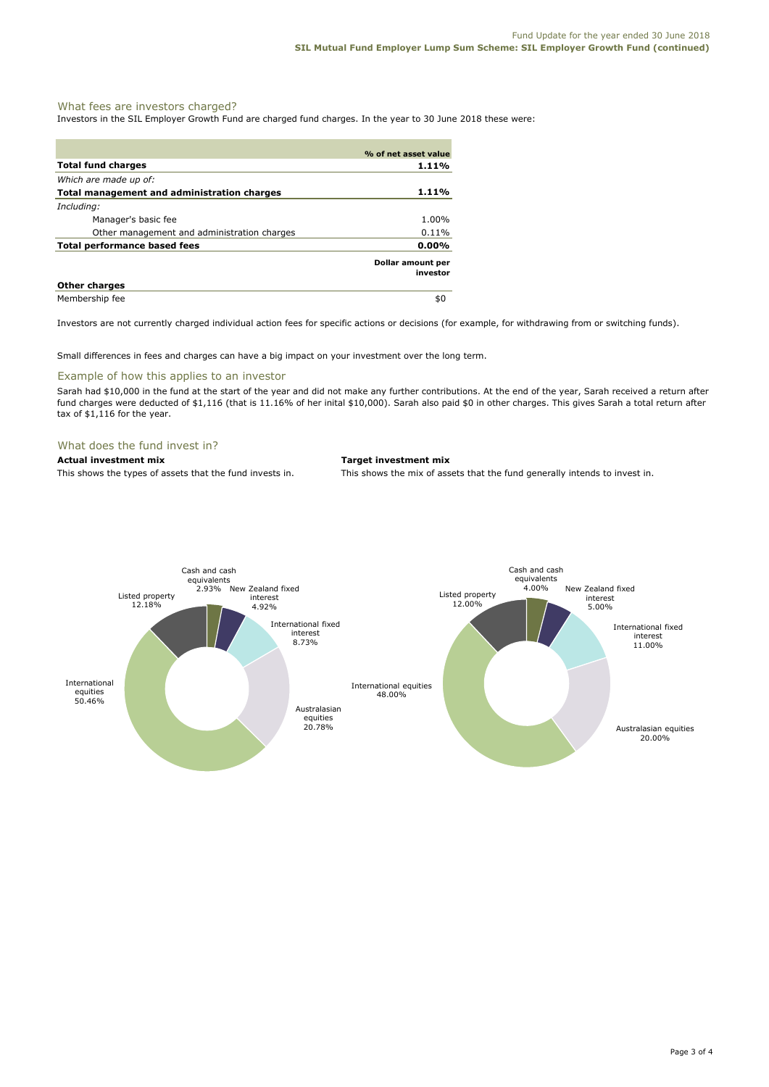# What fees are investors charged?

Investors in the SIL Employer Growth Fund are charged fund charges. In the year to 30 June 2018 these were:

|                                             | % of net asset value          |
|---------------------------------------------|-------------------------------|
| <b>Total fund charges</b>                   | 1.11%                         |
| Which are made up of:                       |                               |
| Total management and administration charges | 1.11%                         |
| Including:                                  |                               |
| Manager's basic fee                         | 1.00%                         |
| Other management and administration charges | $0.11\%$                      |
| Total performance based fees                | $0.00\%$                      |
|                                             | Dollar amount per<br>investor |
| <b>Other charges</b>                        |                               |
| Membership fee                              | \$0                           |

Investors are not currently charged individual action fees for specific actions or decisions (for example, for withdrawing from or switching funds).

Small differences in fees and charges can have a big impact on your investment over the long term.

# Example of how this applies to an investor

Sarah had \$10,000 in the fund at the start of the year and did not make any further contributions. At the end of the year, Sarah received a return after fund charges were deducted of \$1,116 (that is 11.16% of her inital \$10,000). Sarah also paid \$0 in other charges. This gives Sarah a total return after tax of \$1,116 for the year.

#### What does the fund invest in?

**Actual investment mix Target investment mix**

This shows the types of assets that the fund invests in. This shows the mix of assets that the fund generally intends to invest in.